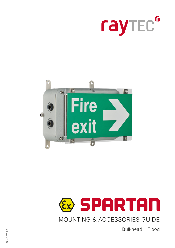





MOUNTING & ACCESSORIES GUIDE

Bulkhead | Flood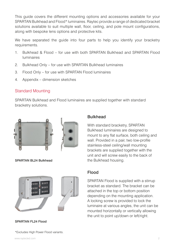This guide covers the different mounting options and accessories available for your SPARTAN Bulkhead and Flood\* luminaires. Raytec provide a range of dedicated bracket solutions available to suit multiple wall, floor, ceiling, and pole mount configurations, along with bespoke lens options and protective kits.

We have separated the guide into four parts to help you identify your bracketry requirements.

- 1. Bulkhead & Flood for use with both SPARTAN Bulkhead and SPARTAN Flood luminaires
- 2. Bulkhead Only for use with SPARTAN Bulkhead luminaires
- 3. Flood Only for use with SPARTAN Flood luminaires
- 4. Appendix dimension sketches

### Standard Mounting

SPARTAN Bulkhead and Flood luminaires are supplied together with standard bracketry solutions.



**SPARTAN BL24 Bulkhead the Bulkhead housing.** 



With standard bracketry, SPARTAN Bulkhead luminaires are designed to mount to any flat surface, both ceiling and wall. Provided in a pair, two low-profile stainless-steel ceiling/wall mounting brackets are supplied together with the unit and will screw easily to the back of







\*Excludes High Power Flood variants.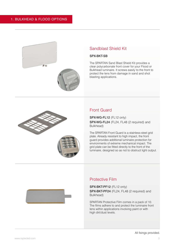

### Sandblast Shield Kit

#### SPX-BKT-SB

The SPARTAN Sand Blast Shield Kit provides a clear polycarbonate front cover for your Flood or Bulkhead luminaire. It screws easily to the front to protect the lens from damage in sand and shot blasting applications.



### Front Guard

SPX-WG-FL12 (FL12 only) SPX-WG-FL24 (FL24, FL48 (2 required) and Bulkhead)

The SPARTAN Front Guard is a stainless-steel grid plate. Already resistant to high impact, the front guard provides additional luminaire protection for environments of extreme mechanical impact. The grid plate can be fitted directly to the front of the luminaire, designed so as not to obstruct light output.

### Protective Film

SPX-BKT-PF12 (FL12 only) SPX-BKT-PF24 (FL24, FL48 (2 required) and Bulkhead)

SPARTAN Protective Film comes in a pack of 10. The films adhere to and protect the luminaire front lens within applications involving paint or with high dirt/dust levels.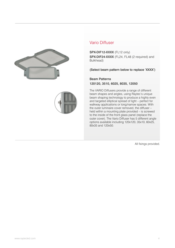



SPX-DIF12-XXXX (FL12 only) SPX-DIF24-XXXX (FL24, FL48 (2 required) and Bulkhead)

(Select beam pattern below to replace 'XXXX')

Beam Patterns 120120, 3510, 6025, 8035, 12050

The VARIO Diffusers provide a range of different beam shapes and angles, using Raytec's unique beam shaping technology to produce a highly even and targeted elliptical spread of light – perfect for walkway applications or long/narrow spaces. With the outer luminaire cover removed, the diffuser – held within a mounting plate provided – is screwed to the inside of the front glass panel (replace the outer cover). The Vario Diffuser has 5 different angle options available including 120x120, 35x10, 60x25, 80x35 and 120x50.

All fixings provided.

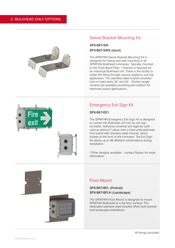

### Swivel Bracket Mounting Kit

#### SPX-BKT-SW SPX-BKT-SWS (short)

The SPARTAN Swivel Bracket Mounting Kit is designed for ceiling and wall mounting of all SPARTAN Bulkhead luminaires. Typically mounted to the Flush Back Plate, 1 bracket is required for an individual Bulkhead unit. There is the facility to rotate the fitting through various angles to suit any application. The stainless-steel bracket provides lock-in holes every 30° and 45°. Shorter length variants are available providing part-rotation for restricted space applications.



### Emergency Exit Sign Kit

#### SPX-BKT-EE1

The SPARTAN Emergency Exit Sign Kit is designed to convert the Bulkhead unit into an exit sign luminaire. Adhesive universal exit legends (with various options\*) place onto a clear polycarbonate front panel with stainless steel mounts, which screws to the front of the luminaire. The Exit Sign Kit allows up to 48 different combinations during installation.

\*Other designs available – contact Raytec for more information.



#### SPX-BKT-BFL (Portrait) SPX-BKT-BFLH (Landscape)

The SPARTAN Floor Mount is designed to mount SPARTAN Bulkhead to a flat floor surface. The dedicated stainless-steel bracket offers both portrait and landscape orientations.

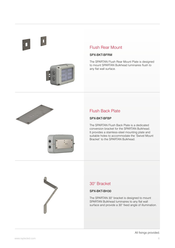$\mathbf{r}$ 



### Flush Rear Mount

#### SPX-BKT-BFRM

The SPARTAN Flush Rear Mount Plate is designed to mount SPARTAN Bulkhead luminaires flush to any flat wall surface.



### Flush Back Plate

#### SPX-BKT-BFBP

The SPARTAN Flush Back Plate is a dedicated conversion bracket for the SPARTAN Bulkhead. It provides a stainless-steel mounting plate and suitable holes to accommodate the 'Swivel Mount Bracket' to the SPARTAN Bulkhead.

### 30° Bracket

#### SPX-BKT-BH30

The SPARTAN 30° bracket is designed to mount SPARTAN Bulkhead luminaires to any flat wall surface and provide a 30° fixed angle of illumination.

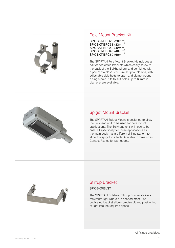

### Pole Mount Bracket Kit

| SPX-BKT-BPC28 (28mm) |
|----------------------|
| SPX-BKT-BPC33 (33mm) |
| SPX-BKT-BPC42 (42mm) |
| SPX-BKT-BPC48 (48mm) |
| SPX-BKT-BPC60 (60mm) |

The SPARTAN Pole Mount Bracket Kit includes a pair of dedicated brackets which easily screw to the back of the Bulkhead unit and combines with a pair of stainless-steel circular pole clamps, with adjustable side-bolts to open and clamp around a single pole. Kits to suit poles up to 60mm in diameter are available.



### Spigot Mount Bracket

The SPARTAN Spigot Mount is designed to allow the Bulkhead unit to be used for pole mount applications. The Bulkhead unit will need to be ordered specifically for these applications as the main body has a different drilling pattern to allow the spigot to attach. Available in three sizes. Contact Raytec for part codes.



### Stirrup Bracket

#### SPX-BKT-BLST

The SPARTAN Bulkhead Stirrup Bracket delivers maximum light where it is needed most. The dedicated bracket allows precise tilt and positioning of light into the required space.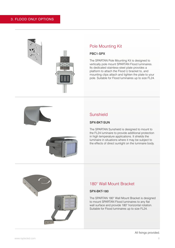



### Pole Mounting Kit

#### PBC1-SPX

The SPARTAN Pole Mounting Kit is designed to vertically pole mount SPARTAN Flood luminaires. Its dedicated stainless-steel plate provides a platform to attach the Flood U bracket to, and mounting clips attach and tighten the plate to your pole. Suitable for Flood luminaires up to size FL24.



#### SPX-BKT-SUN

The SPARTAN Sunshield is designed to mount to the FL24 luminaire to provide additional protection in high temperature applications. It shields the luminaire in situations where it may be subject to the effects of direct sunlight on the luminaire body.



### 180° Wall Mount Bracket

#### SPX-BKT-180

The SPARTAN 180° Wall Mount Bracket is designed to mount SPARTAN Flood luminaires to any flat wall surface and provide 180° horizontal rotation. Suitable for Flood luminaires up to size FL24.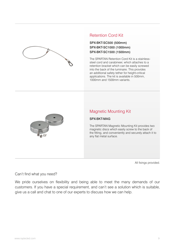

### Retention Cord Kit

#### SPX-BKT-SC500 (500mm) SPX-BKT-SC1000 (1000mm) SPX-BKT-SC1500 (1500mm)

The SPARTAN Retention Cord Kit is a stainlesssteel cord and carabineer, which attaches to a retention bracket which can be easily screwed into the back of the luminaire. This provides an additional safety tether for height-critical applications. The kit is available in 500mm, 1000mm and 1500mm variants.



### Magnetic Mounting Kit

#### SPX-BKT-MAG

The SPARTAN Magnetic Mounting Kit provides two magnetic discs which easily screw to the back of the fitting, and conveniently and securely attach it to any flat metal surface.

All fixings provided.

Can't find what you need?

We pride ourselves on flexibility and being able to meet the many demands of our customers. If you have a special requirement, and can't see a solution which is suitable, give us a call and chat to one of our experts to discuss how we can help.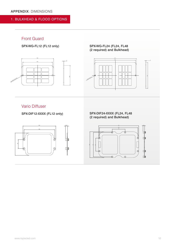### 1. BULKHEAD & FLOOD OPTIONS

### Front Guard

SPX-WG-FL12 (FL12 only)



100

SPX-WG-FL24 (FL24, FL48 (2 required) and Bulkhead)



### Vario Diffuser

SPX-DIF12-XXXX (FL12 only)

SPX-DIF24-XXXX (FL24, FL48 (2 required) and Bulkhead)



 10.60 247 T. ℸ **16**  150 80 пk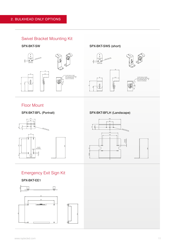### Swivel Bracket Mounting Kit

SPX-BKT-SW



SPX-BKT-SWS (short)



Floor Mount

SPX-BKT-BFL (Portrait)

SPX-BKT-BFLH (Landscape)





## Emergency Exit Sign Kit

SPX-BKT-EE1



182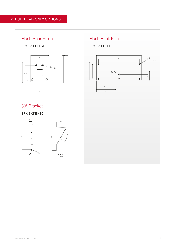### Flush Rear Mount

#### SPX-BKT-BFRM



4

## Flush Back Plate

SPX-BKT-BFBP



30° Bracket

SPX-BKT-BH30

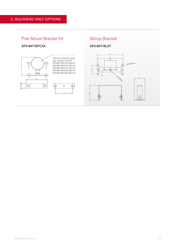### Pole Mount Bracket Kit

#### SPX-BKT-BPCXX



### Stirrup Bracket

SPX-BKT-BLST

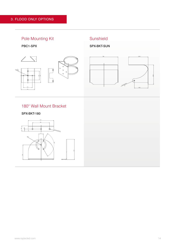

## 180° Wall Mount Bracket

SPX-BKT-180